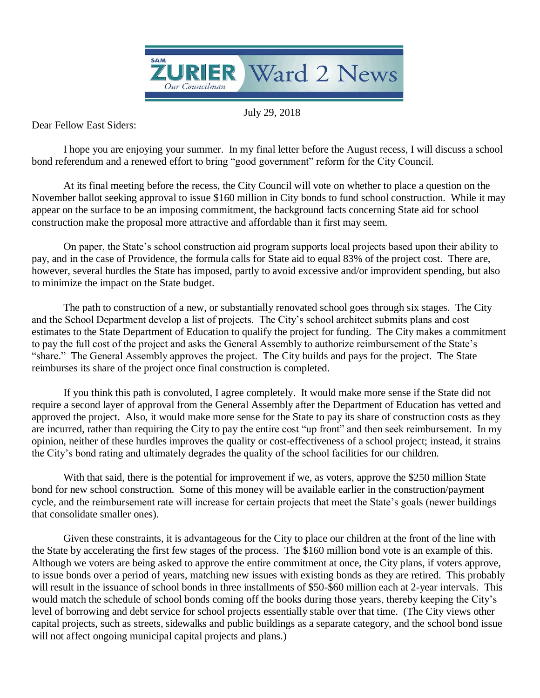

July 29, 2018

Dear Fellow East Siders:

bond referendum and a renewed effort to bring "good government" reform for the City Council. I hope you are enjoying your summer. In my final letter before the August recess, I will discuss a school

At its final meeting before the recess, the City Council will vote on whether to place a question on the November ballot seeking approval to issue \$160 million in City bonds to fund school construction. While it may appear on the surface to be an imposing commitment, the background facts concerning State aid for school construction make the proposal more attractive and affordable than it first may seem.

On paper, the State's school construction aid program supports local projects based upon their ability to pay, and in the case of Providence, the formula calls for State aid to equal 83% of the project cost. There are, however, several hurdles the State has imposed, partly to avoid excessive and/or improvident spending, but also to minimize the impact on the State budget.

The path to construction of a new, or substantially renovated school goes through six stages. The City and the School Department develop a list of projects. The City's school architect submits plans and cost estimates to the State Department of Education to qualify the project for funding. The City makes a commitment to pay the full cost of the project and asks the General Assembly to authorize reimbursement of the State's "share." The General Assembly approves the project. The City builds and pays for the project. The State reimburses its share of the project once final construction is completed.

If you think this path is convoluted, I agree completely. It would make more sense if the State did not require a second layer of approval from the General Assembly after the Department of Education has vetted and approved the project. Also, it would make more sense for the State to pay its share of construction costs as they are incurred, rather than requiring the City to pay the entire cost "up front" and then seek reimbursement. In my opinion, neither of these hurdles improves the quality or cost-effectiveness of a school project; instead, it strains the City's bond rating and ultimately degrades the quality of the school facilities for our children.

With that said, there is the potential for improvement if we, as voters, approve the \$250 million State bond for new school construction. Some of this money will be available earlier in the construction/payment cycle, and the reimbursement rate will increase for certain projects that meet the State's goals (newer buildings that consolidate smaller ones).

Given these constraints, it is advantageous for the City to place our children at the front of the line with the State by accelerating the first few stages of the process. The \$160 million bond vote is an example of this. Although we voters are being asked to approve the entire commitment at once, the City plans, if voters approve, to issue bonds over a period of years, matching new issues with existing bonds as they are retired. This probably will result in the issuance of school bonds in three installments of \$50-\$60 million each at 2-year intervals. This would match the schedule of school bonds coming off the books during those years, thereby keeping the City's level of borrowing and debt service for school projects essentially stable over that time. (The City views other capital projects, such as streets, sidewalks and public buildings as a separate category, and the school bond issue will not affect ongoing municipal capital projects and plans.)